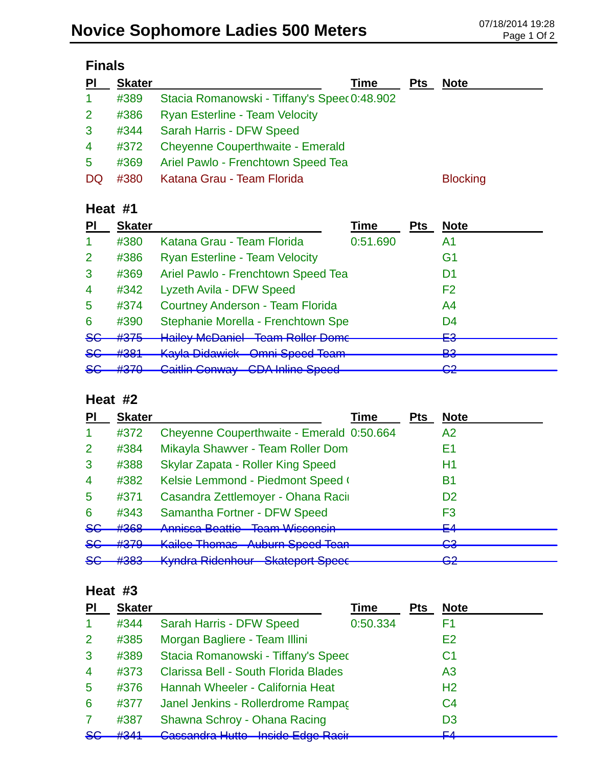| PI                   | <b>Skater</b> | Time                                         | <b>Pts</b> | <b>Note</b>     |  |
|----------------------|---------------|----------------------------------------------|------------|-----------------|--|
| $\blacktriangleleft$ | #389          | Stacia Romanowski - Tiffany's Speec 0:48.902 |            |                 |  |
| $\overline{2}$       | #386          | <b>Ryan Esterline - Team Velocity</b>        |            |                 |  |
| $\mathbf{3}$         | #344          | Sarah Harris - DFW Speed                     |            |                 |  |
| $\overline{4}$       | #372          | <b>Cheyenne Couperthwaite - Emerald</b>      |            |                 |  |
| 5                    | #369          | Ariel Pawlo - Frenchtown Speed Tea           |            |                 |  |
| DQ                   | #380          | Katana Grau - Team Florida                   |            | <b>Blocking</b> |  |

## **Heat #1**

| PI             | <b>Skater</b>     |                                         | Time     | <b>Pts</b> | <b>Note</b>                   |
|----------------|-------------------|-----------------------------------------|----------|------------|-------------------------------|
| -1             | #380              | Katana Grau - Team Florida              | 0:51.690 |            | A1                            |
| $\overline{2}$ | #386              | <b>Ryan Esterline - Team Velocity</b>   |          |            | G1                            |
| 3              | #369              | Ariel Pawlo - Frenchtown Speed Tea      |          |            | D1                            |
| $\overline{4}$ | #342              | Lyzeth Avila - DFW Speed                |          |            | F <sub>2</sub>                |
| 5              | #374              | Courtney Anderson - Team Florida        |          |            | A <sub>4</sub>                |
| 6              | #390              | Stephanie Morella - Frenchtown Spe      |          |            | D <sub>4</sub>                |
| <del>SG</del>  | #375              | <b>Hailey McDaniel Team Roller Dome</b> |          |            | cΩ<br>⊏⊽                      |
| <del>SG</del>  | #381              | <b>Kayla Didawick Omni Speed Team</b>   |          |            | <b>D</b> <sup>2</sup><br>⋻    |
| $86$           | H270<br>$\pi$ Jrv | <b>Caitlin Conway CDA Inline Speed</b>  |          |            | ററ<br>$\overline{\mathbf{v}}$ |

## **Heat #2**

|                | <b>Skater</b>  | Time                                                                                           | <b>Pts</b> | <b>Note</b> |
|----------------|----------------|------------------------------------------------------------------------------------------------|------------|-------------|
|                | #372           | Cheyenne Couperthwaite - Emerald 0:50.664                                                      |            | A2          |
| $\overline{2}$ | #384           | Mikayla Shawver - Team Roller Dom                                                              |            | E1          |
| 3              | #388           | Skylar Zapata - Roller King Speed                                                              |            | Η1          |
| $\overline{4}$ | #382           | Kelsie Lemmond - Piedmont Speed (                                                              |            | Β1          |
| 5              | #371           | Casandra Zettlemoyer - Ohana Racii                                                             |            | D2          |
| 6              | #343           | Samantha Fortner - DFW Speed                                                                   |            | F3          |
| <del>SG</del>  | #368           | Annicco Roottio Toam Wicconsin<br><u>Allinood Dodulo</u><br><u>ווטחוטטועז וווטסו</u>           |            | EΛ<br>—     |
| <del>SG</del>  | #379           | <b>Kailee Thomas Auburn Speed Tean</b>                                                         |            | റാ<br>▽▽    |
| 86             | H202<br>11 JUJ | Kindra Pidenhour Chatenort Choose<br><del>Undioport Opocc</del><br><del>nynura niuomiour</del> |            | ⌒∩<br>ॼॾ    |

## **Heat #3**

| PI             | <b>Skater</b> |                                      | Time     | <b>Pts</b> | <b>Note</b>    |
|----------------|---------------|--------------------------------------|----------|------------|----------------|
|                | #344          | Sarah Harris - DFW Speed             | 0:50.334 |            | F1             |
| 2              | #385          | Morgan Bagliere - Team Illini        |          |            | E <sub>2</sub> |
| 3              | #389          | Stacia Romanowski - Tiffany's Speed  |          |            | C1             |
| $\overline{4}$ | #373          | Clarissa Bell - South Florida Blades |          |            | A <sub>3</sub> |
| $\overline{5}$ | #376          | Hannah Wheeler - California Heat     |          |            | H <sub>2</sub> |
| 6              | #377          | Janel Jenkins - Rollerdrome Rampac   |          |            | C <sub>4</sub> |
| 7              | #387          | Shawna Schroy - Ohana Racing         |          |            | D <sub>3</sub> |
| <del>SC</del>  | H2A1          | Cassandra Hutto - Inside Edge Racir  |          |            | EЛ             |